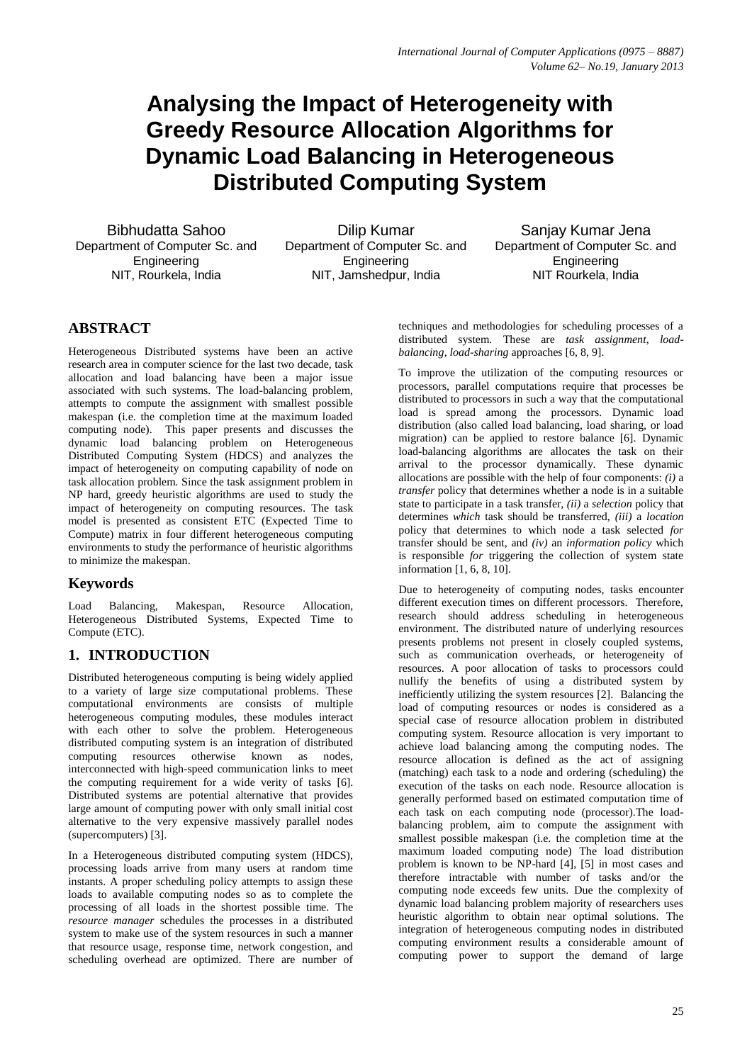# **Analysing the Impact of Heterogeneity with Greedy Resource Allocation Algorithms for Dynamic Load Balancing in Heterogeneous Distributed Computing System**

Bibhudatta Sahoo Department of Computer Sc. and Engineering NIT, Rourkela, India

Dilip Kumar Department of Computer Sc. and **Engineering** NIT, Jamshedpur, India

Sanjay Kumar Jena Department of Computer Sc. and **Engineering** NIT Rourkela, India

# **ABSTRACT**

Heterogeneous Distributed systems have been an active research area in computer science for the last two decade, task allocation and load balancing have been a major issue associated with such systems. The load-balancing problem, attempts to compute the assignment with smallest possible makespan (i.e. the completion time at the maximum loaded computing node). This paper presents and discusses the dynamic load balancing problem on Heterogeneous Distributed Computing System (HDCS) and analyzes the impact of heterogeneity on computing capability of node on task allocation problem. Since the task assignment problem in NP hard, greedy heuristic algorithms are used to study the impact of heterogeneity on computing resources. The task model is presented as consistent ETC (Expected Time to Compute) matrix in four different heterogeneous computing environments to study the performance of heuristic algorithms to minimize the makespan.

## **Keywords**

Load Balancing, Makespan, Resource Allocation, Heterogeneous Distributed Systems, Expected Time to Compute (ETC).

# **1. INTRODUCTION**

Distributed heterogeneous computing is being widely applied to a variety of large size computational problems. These computational environments are consists of multiple heterogeneous computing modules, these modules interact with each other to solve the problem. Heterogeneous distributed computing system is an integration of distributed computing resources otherwise known as nodes, interconnected with high-speed communication links to meet the computing requirement for a wide verity of tasks [6]. Distributed systems are potential alternative that provides large amount of computing power with only small initial cost alternative to the very expensive massively parallel nodes (supercomputers) [3].

In a Heterogeneous distributed computing system (HDCS), processing loads arrive from many users at random time instants. A proper scheduling policy attempts to assign these loads to available computing nodes so as to complete the processing of all loads in the shortest possible time. The *resource manager* schedules the processes in a distributed system to make use of the system resources in such a manner that resource usage, response time, network congestion, and scheduling overhead are optimized. There are number of techniques and methodologies for scheduling processes of a distributed system. These are *task assignment*, *loadbalancing*, *load-sharing* approaches [6, 8, 9].

To improve the utilization of the computing resources or processors, parallel computations require that processes be distributed to processors in such a way that the computational load is spread among the processors. Dynamic load distribution (also called load balancing, load sharing, or load migration) can be applied to restore balance [6]. Dynamic load-balancing algorithms are allocates the task on their arrival to the processor dynamically. These dynamic allocations are possible with the help of four components: *(i)* a *transfer* policy that determines whether a node is in a suitable state to participate in a task transfer, *(ii)* a *selection* policy that determines *which* task should be transferred, *(iii)* a *location*  policy that determines to which node a task selected *for*  transfer should be sent, and *(iv)* an *information policy* which is responsible *for* triggering the collection of system state information [1, 6, 8, 10].

Due to heterogeneity of computing nodes, tasks encounter different execution times on different processors. Therefore, research should address scheduling in heterogeneous environment. The distributed nature of underlying resources presents problems not present in closely coupled systems, such as communication overheads, or heterogeneity of resources. A poor allocation of tasks to processors could nullify the benefits of using a distributed system by inefficiently utilizing the system resources [2]. Balancing the load of computing resources or nodes is considered as a special case of resource allocation problem in distributed computing system. Resource allocation is very important to achieve load balancing among the computing nodes. The resource allocation is defined as the act of assigning (matching) each task to a node and ordering (scheduling) the execution of the tasks on each node. Resource allocation is generally performed based on estimated computation time of each task on each computing node (processor).The loadbalancing problem, aim to compute the assignment with smallest possible makespan (i.e. the completion time at the maximum loaded computing node) The load distribution problem is known to be NP-hard [4], [5] in most cases and therefore intractable with number of tasks and/or the computing node exceeds few units. Due the complexity of dynamic load balancing problem majority of researchers uses heuristic algorithm to obtain near optimal solutions. The integration of heterogeneous computing nodes in distributed computing environment results a considerable amount of computing power to support the demand of large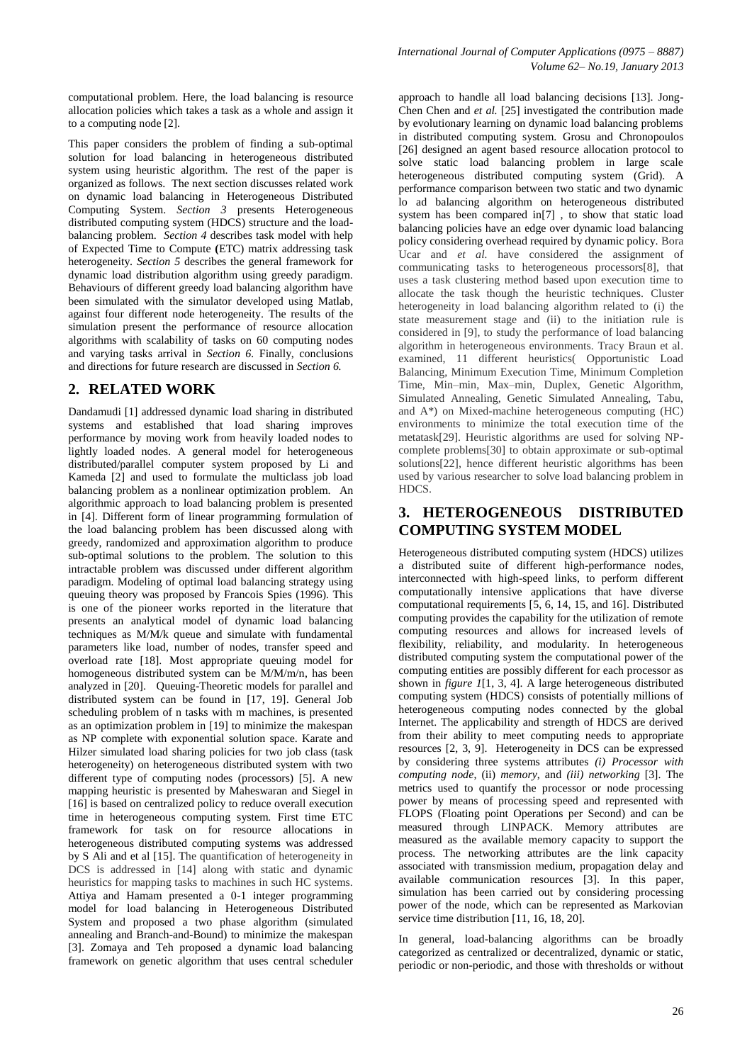computational problem. Here, the load balancing is resource allocation policies which takes a task as a whole and assign it to a computing node [2].

This paper considers the problem of finding a sub-optimal solution for load balancing in heterogeneous distributed system using heuristic algorithm. The rest of the paper is organized as follows. The next section discusses related work on dynamic load balancing in Heterogeneous Distributed Computing System. *Section 3* presents Heterogeneous distributed computing system (HDCS) structure and the loadbalancing problem. *Section 4* describes task model with help of Expected Time to Compute **(**ETC) matrix addressing task heterogeneity. *Section 5* describes the general framework for dynamic load distribution algorithm using greedy paradigm. Behaviours of different greedy load balancing algorithm have been simulated with the simulator developed using Matlab, against four different node heterogeneity. The results of the simulation present the performance of resource allocation algorithms with scalability of tasks on 60 computing nodes and varying tasks arrival in *Section 6.* Finally, conclusions and directions for future research are discussed in *Section 6.*

### **2. RELATED WORK**

Dandamudi [1] addressed dynamic load sharing in distributed systems and established that load sharing improves performance by moving work from heavily loaded nodes to lightly loaded nodes. A general model for heterogeneous distributed/parallel computer system proposed by Li and Kameda [2] and used to formulate the multiclass job load balancing problem as a nonlinear optimization problem. An algorithmic approach to load balancing problem is presented in [4]. Different form of linear programming formulation of the load balancing problem has been discussed along with greedy, randomized and approximation algorithm to produce sub-optimal solutions to the problem. The solution to this intractable problem was discussed under different algorithm paradigm. Modeling of optimal load balancing strategy using queuing theory was proposed by Francois Spies (1996). This is one of the pioneer works reported in the literature that presents an analytical model of dynamic load balancing techniques as M/M/k queue and simulate with fundamental parameters like load, number of nodes, transfer speed and overload rate [18]. Most appropriate queuing model for homogeneous distributed system can be M/M/m/n, has been analyzed in [20]. Queuing-Theoretic models for parallel and distributed system can be found in [17, 19]. General Job scheduling problem of n tasks with m machines, is presented as an optimization problem in [19] to minimize the makespan as NP complete with exponential solution space. Karate and Hilzer simulated load sharing policies for two job class (task heterogeneity) on heterogeneous distributed system with two different type of computing nodes (processors) [5]. A new mapping heuristic is presented by Maheswaran and Siegel in [16] is based on centralized policy to reduce overall execution time in heterogeneous computing system. First time ETC framework for task on for resource allocations in heterogeneous distributed computing systems was addressed by S Ali and et al [15]. The quantification of heterogeneity in DCS is addressed in [14] along with static and dynamic heuristics for mapping tasks to machines in such HC systems. Attiya and Hamam presented a 0-1 integer programming model for load balancing in Heterogeneous Distributed System and proposed a two phase algorithm (simulated annealing and Branch-and-Bound) to minimize the makespan [3]. Zomaya and Teh proposed a dynamic load balancing framework on genetic algorithm that uses central scheduler

approach to handle all load balancing decisions [13]. Jong-Chen Chen and *et al.* [25] investigated the contribution made by evolutionary learning on dynamic load balancing problems in distributed computing system. Grosu and Chronopoulos [26] designed an agent based resource allocation protocol to solve static load balancing problem in large scale heterogeneous distributed computing system (Grid). A performance comparison between two static and two dynamic lo ad balancing algorithm on heterogeneous distributed system has been compared in[7] , to show that static load balancing policies have an edge over dynamic load balancing policy considering overhead required by dynamic policy. Bora Ucar and *et al.* have considered the assignment of communicating tasks to heterogeneous processors[8], that uses a task clustering method based upon execution time to allocate the task though the heuristic techniques. Cluster heterogeneity in load balancing algorithm related to (i) the state measurement stage and (ii) to the initiation rule is considered in [9], to study the performance of load balancing algorithm in heterogeneous environments. Tracy Braun et al. examined, 11 different heuristics( Opportunistic Load Balancing, Minimum Execution Time, Minimum Completion Time, Min–min, Max–min, Duplex, Genetic Algorithm, Simulated Annealing, Genetic Simulated Annealing, Tabu, and A\*) on Mixed-machine heterogeneous computing (HC) environments to minimize the total execution time of the metatask[29]. Heuristic algorithms are used for solving NPcomplete problems[30] to obtain approximate or sub-optimal solutions[22], hence different heuristic algorithms has been used by various researcher to solve load balancing problem in HDCS.

### **3. HETEROGENEOUS DISTRIBUTED COMPUTING SYSTEM MODEL**

Heterogeneous distributed computing system (HDCS) utilizes a distributed suite of different high-performance nodes, interconnected with high-speed links, to perform different computationally intensive applications that have diverse computational requirements [5, 6, 14, 15, and 16]. Distributed computing provides the capability for the utilization of remote computing resources and allows for increased levels of flexibility, reliability, and modularity. In heterogeneous distributed computing system the computational power of the computing entities are possibly different for each processor as shown in *figure 1*[1, 3, 4]. A large heterogeneous distributed computing system (HDCS) consists of potentially millions of heterogeneous computing nodes connected by the global Internet. The applicability and strength of HDCS are derived from their ability to meet computing needs to appropriate resources [2, 3, 9]. Heterogeneity in DCS can be expressed by considering three systems attributes *(i) Processor with computing node*, (ii) *memory*, and *(iii) networking* [3]. The metrics used to quantify the processor or node processing power by means of processing speed and represented with FLOPS (Floating point Operations per Second) and can be measured through LINPACK. Memory attributes are measured as the available memory capacity to support the process. The networking attributes are the link capacity associated with transmission medium, propagation delay and available communication resources [3]. In this paper, simulation has been carried out by considering processing power of the node, which can be represented as Markovian service time distribution [11, 16, 18, 20].

In general, load-balancing algorithms can be broadly categorized as centralized or decentralized, dynamic or static, periodic or non-periodic, and those with thresholds or without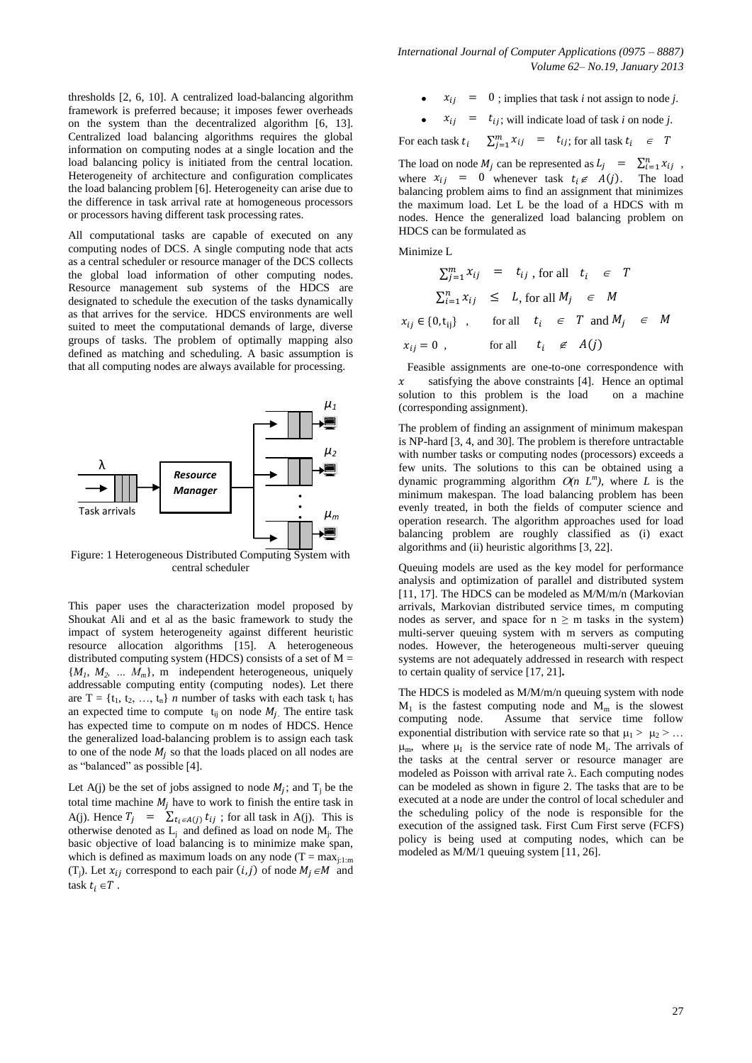*International Journal of Computer Applications (0975 – 8887) Volume 62– No.19, January 2013*

thresholds [2, 6, 10]. A centralized load-balancing algorithm framework is preferred because; it imposes fewer overheads on the system than the decentralized algorithm [6, 13]. Centralized load balancing algorithms requires the global information on computing nodes at a single location and the load balancing policy is initiated from the central location. Heterogeneity of architecture and configuration complicates the load balancing problem [6]. Heterogeneity can arise due to the difference in task arrival rate at homogeneous processors or processors having different task processing rates.

All computational tasks are capable of executed on any computing nodes of DCS. A single computing node that acts as a central scheduler or resource manager of the DCS collects the global load information of other computing nodes. Resource management sub systems of the HDCS are designated to schedule the execution of the tasks dynamically as that arrives for the service. HDCS environments are well suited to meet the computational demands of large, diverse groups of tasks. The problem of optimally mapping also defined as matching and scheduling. A basic assumption is that all computing nodes are always available for processing.



Figure: 1 Heterogeneous Distributed Computing System with central scheduler

This paper uses the characterization model proposed by Shoukat Ali and et al as the basic framework to study the impact of system heterogeneity against different heuristic resource allocation algorithms [15]. A heterogeneous distributed computing system (HDCS) consists of a set of  $M =$  ${M_1, M_2, \ldots M_m}$ , m independent heterogeneous, uniquely addressable computing entity (computing nodes). Let there are  $T = \{t_1, t_2, ..., t_n\}$  *n* number of tasks with each task  $t_i$  has an expected time to compute  $t_{ii}$  on node  $M_i$ . The entire task has expected time to compute on m nodes of HDCS. Hence the generalized load-balancing problem is to assign each task to one of the node  $M_i$  so that the loads placed on all nodes are as "balanced" as possible [4].

Let A(j) be the set of jobs assigned to node  $M_j$ ; and  $T_j$  be the total time machine  $M_i$  have to work to finish the entire task in A(j). Hence  $T_j = \sum_{t_i \in A(j)} t_{ij}$ ; for all task in A(j). This is otherwise denoted as  $L_j$  and defined as load on node  $M_j$ . The basic objective of load balancing is to minimize make span, which is defined as maximum loads on any node (T =  $max_{i\text{-}1\text{-}m}$ ) (T<sub>j</sub>). Let  $x_{ij}$  correspond to each pair  $(i, j)$  of node  $M_j \in M$  and task  $t_i \in T$ .

- ; implies that task *i* not assign to node *j*.
- $x_{ij}$  =  $t_{ij}$ ; will indicate load of task *i* on node *j*.

For each task  $t_i$  $\sum_{j=1}^{m} x_{ij}$  =  $t_{ij}$ ; for all task

The load on node  $M_j$  can be represented as  $L_j = \sum_{i=1}^n x_{ij}$ , where  $x_{ij} = 0$  whenever task  $t_i \notin A(j)$ . The load balancing problem aims to find an assignment that minimizes the maximum load. Let L be the load of a HDCS with m nodes. Hence the generalized load balancing problem on HDCS can be formulated as

Minimize L

$$
\sum_{j=1}^{m} x_{ij} = t_{ij}, \text{ for all } t_i \in T
$$
  

$$
\sum_{i=1}^{n} x_{ij} \leq L, \text{ for all } M_j \in M
$$
  

$$
x_{ij} \in \{0, t_{ij}\}, \text{ for all } t_i \in T \text{ and } M_j \in M
$$
  

$$
x_{ij} = 0, \text{ for all } t_i \notin A(j)
$$

 Feasible assignments are one-to-one correspondence with  $x$  satisfying the above constraints [4]. Hence an optimal solution to this problem is the load on a machine (corresponding assignment).

The problem of finding an assignment of minimum makespan is NP-hard [3, 4, and 30]. The problem is therefore untractable with number tasks or computing nodes (processors) exceeds a few units. The solutions to this can be obtained using a dynamic programming algorithm  $O(n L^m)$ , where *L* is the minimum makespan. The load balancing problem has been evenly treated, in both the fields of computer science and operation research. The algorithm approaches used for load balancing problem are roughly classified as (i) exact algorithms and (ii) heuristic algorithms [3, 22].

Queuing models are used as the key model for performance analysis and optimization of parallel and distributed system [11, 17]. The HDCS can be modeled as M/M/m/n (Markovian arrivals, Markovian distributed service times, m computing nodes as server, and space for  $n \ge m$  tasks in the system) multi-server queuing system with m servers as computing nodes. However, the heterogeneous multi-server queuing systems are not adequately addressed in research with respect to certain quality of service [17, 21]**.**

The HDCS is modeled as M/M/m/n queuing system with node  $M_1$  is the fastest computing node and  $M_m$  is the slowest computing node. Assume that service time follow exponential distribution with service rate so that  $\mu_1 > \mu_2 > ...$  $\mu_m$ , where  $\mu_I$  is the service rate of node  $M_i$ . The arrivals of the tasks at the central server or resource manager are modeled as Poisson with arrival rate  $\lambda$ . Each computing nodes can be modeled as shown in figure 2. The tasks that are to be executed at a node are under the control of local scheduler and the scheduling policy of the node is responsible for the execution of the assigned task. First Cum First serve (FCFS) policy is being used at computing nodes, which can be modeled as M/M/1 queuing system [11, 26].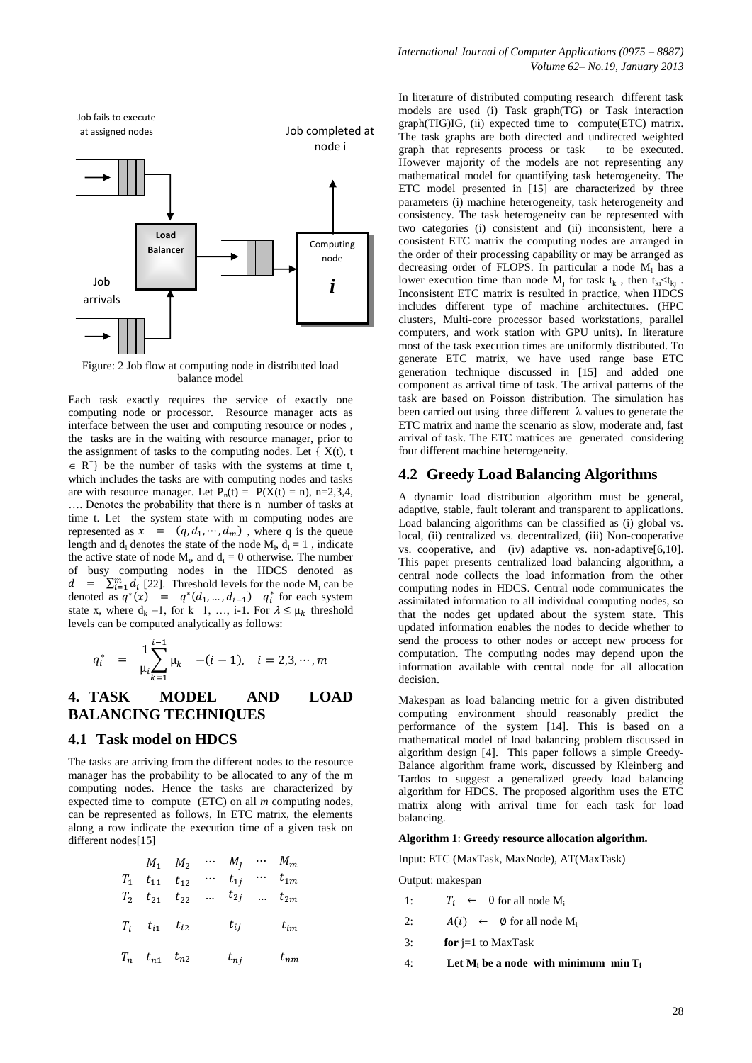

Figure: 2 Job flow at computing node in distributed load balance model

Each task exactly requires the service of exactly one computing node or processor. Resource manager acts as interface between the user and computing resource or nodes , the tasks are in the waiting with resource manager, prior to the assignment of tasks to the computing nodes. Let  $\{ X(t), t \}$  $\in$  R<sup>+</sup>} be the number of tasks with the systems at time t, which includes the tasks are with computing nodes and tasks are with resource manager. Let  $P_n(t) = P(X(t) = n)$ , n=2,3,4, …. Denotes the probability that there is n number of tasks at time t. Let the system state with m computing nodes are represented as  $x = (q, d_1, \dots, d_m)$ , where q is the queue length and  $d_i$  denotes the state of the node  $M_i$ ,  $d_i = 1$ , indicate the active state of node  $M_i$ , and  $d_i = 0$  otherwise. The number of busy computing nodes in the HDCS denoted as  $d = \sum_{i=1}^{m} d_i$  [22]. Threshold levels for the node M<sub>i</sub> can be denoted as  $q^*(x) = q^*(d_1, ..., d_{i-1})$   $q_i^*$  for each system state x, where  $d_k = 1$ , for k 1, ..., i-1. For  $\lambda \leq \mu_k$  threshold levels can be computed analytically as follows:

$$
q_i^* = \frac{1}{\mu_i} \sum_{k=1}^{i-1} \mu_k \quad -(i-1), \quad i = 2, 3, \cdots, m
$$

## **4. TASK MODEL AND LOAD BALANCING TECHNIQUES**

### **4.1 Task model on HDCS**

 $\mathbf{r}$ 

The tasks are arriving from the different nodes to the resource manager has the probability to be allocated to any of the m computing nodes. Hence the tasks are characterized by expected time to compute (ETC) on all *m* computing nodes, can be represented as follows, In ETC matrix, the elements along a row indicate the execution time of a given task on different nodes[15]

|                                 | $M_1$ $M_2$ $\cdots$ $M_j$ $\cdots$ $M_m$ |                                     |          |
|---------------------------------|-------------------------------------------|-------------------------------------|----------|
| $T_1$ $t_{11}$ $t_{12}$         |                                           | $\cdots$ $t_{1j}$ $\cdots$ $t_{1m}$ |          |
|                                 | $T_2$ $t_{21}$ $t_{22}$ $t_{2j}$ $t_{2m}$ |                                     |          |
| $T_i \quad t_{i1} \quad t_{i2}$ |                                           | $t_{ij}$                            | $t_{im}$ |
| $T_n$ $t_{n1}$ $t_{n2}$         |                                           | $t_{nj}$                            | $t_{nm}$ |

In literature of distributed computing research different task models are used (i) Task graph(TG) or Task interaction graph(TIG)IG, (ii) expected time to compute(ETC) matrix. The task graphs are both directed and undirected weighted graph that represents process or task to be executed. However majority of the models are not representing any mathematical model for quantifying task heterogeneity. The ETC model presented in [15] are characterized by three parameters (i) machine heterogeneity, task heterogeneity and consistency. The task heterogeneity can be represented with two categories (i) consistent and (ii) inconsistent, here a consistent ETC matrix the computing nodes are arranged in the order of their processing capability or may be arranged as decreasing order of FLOPS. In particular a node M<sup>i</sup> has a lower execution time than node  $M_j$  for task  $t_k$ , then  $t_{ki} < t_{kj}$ . Inconsistent ETC matrix is resulted in practice, when HDCS includes different type of machine architectures. (HPC clusters, Multi-core processor based workstations, parallel computers, and work station with GPU units). In literature most of the task execution times are uniformly distributed. To generate ETC matrix, we have used range base ETC generation technique discussed in [15] and added one component as arrival time of task. The arrival patterns of the task are based on Poisson distribution. The simulation has been carried out using three different  $\lambda$  values to generate the ETC matrix and name the scenario as slow, moderate and, fast arrival of task. The ETC matrices are generated considering four different machine heterogeneity.

### **4.2 Greedy Load Balancing Algorithms**

A dynamic load distribution algorithm must be general, adaptive, stable, fault tolerant and transparent to applications. Load balancing algorithms can be classified as (i) global vs. local, (ii) centralized vs. decentralized, (iii) Non-cooperative vs. cooperative, and (iv) adaptive vs. non-adaptive[6,10]. This paper presents centralized load balancing algorithm, a central node collects the load information from the other computing nodes in HDCS. Central node communicates the assimilated information to all individual computing nodes, so that the nodes get updated about the system state. This updated information enables the nodes to decide whether to send the process to other nodes or accept new process for computation. The computing nodes may depend upon the information available with central node for all allocation decision.

Makespan as load balancing metric for a given distributed computing environment should reasonably predict the performance of the system [14]. This is based on a mathematical model of load balancing problem discussed in algorithm design [4]. This paper follows a simple Greedy-Balance algorithm frame work, discussed by Kleinberg and Tardos to suggest a generalized greedy load balancing algorithm for HDCS. The proposed algorithm uses the ETC matrix along with arrival time for each task for load balancing.

#### **Algorithm 1**: **Greedy resource allocation algorithm.**

Input: ETC (MaxTask, MaxNode), AT(MaxTask)

Output: makespan

- 1:  $T_i \leftarrow 0$  for all node M<sub>i</sub>
- 2:  $A(i) \leftarrow \emptyset$  for all node  $M_i$
- 3: **for** j=1 to MaxTask
- 4: **Let M<sup>i</sup> be a node with minimum min T<sup>i</sup>**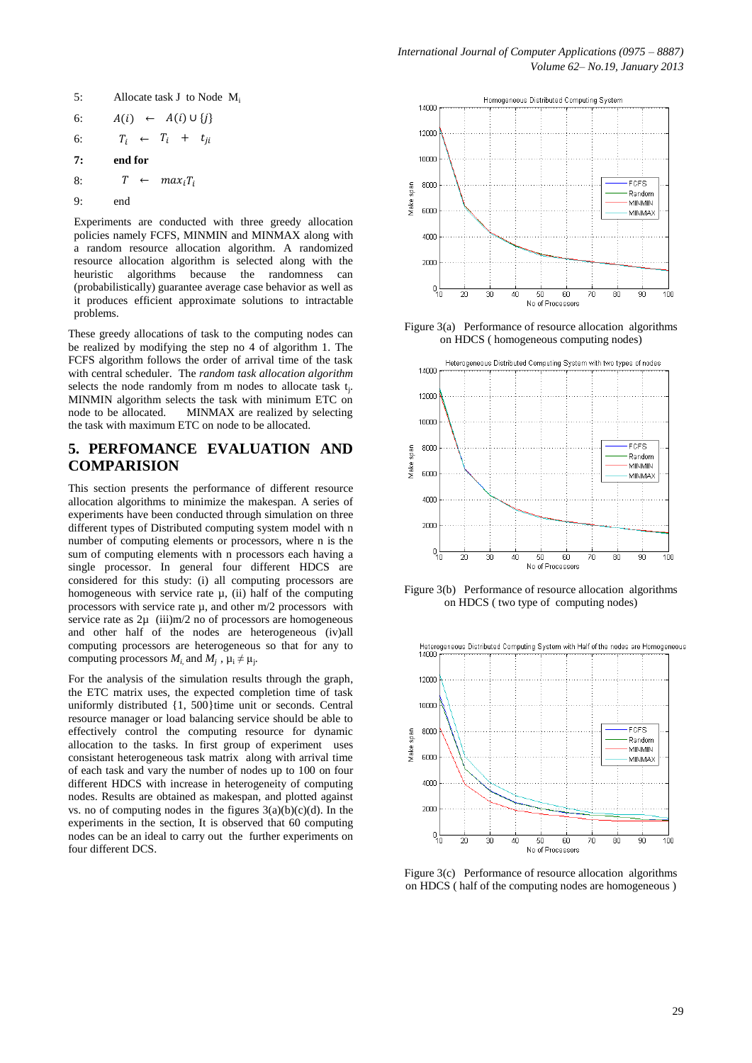5:Allocate task J to Node M<sup>i</sup>

$$
6: \qquad A(i) \ \leftarrow \ A(i) \cup \{j\}
$$

$$
6: \tT_i \leftarrow T_i + t_{ji}
$$

$$
7: \qquad \text{end for} \\
$$

$$
8: \tT \leftarrow max_i T_i
$$

$$
9: \qquad \qquad end
$$

Experiments are conducted with three greedy allocation policies namely FCFS, MINMIN and MINMAX along with a random resource allocation algorithm. A randomized resource allocation algorithm is selected along with the heuristic algorithms because the randomness can (probabilistically) guarantee average case behavior as well as it produces efficient approximate solutions to intractable problems.

These greedy allocations of task to the computing nodes can be realized by modifying the step no 4 of algorithm 1. The FCFS algorithm follows the order of arrival time of the task with central scheduler. The *random task allocation algorithm* selects the node randomly from m nodes to allocate task  $t_i$ . MINMIN algorithm selects the task with minimum ETC on node to be allocated. MINMAX are realized by selecting the task with maximum ETC on node to be allocated.

# **5. PERFOMANCE EVALUATION AND COMPARISION**

This section presents the performance of different resource allocation algorithms to minimize the makespan. A series of experiments have been conducted through simulation on three different types of Distributed computing system model with n number of computing elements or processors, where n is the sum of computing elements with n processors each having a single processor. In general four different HDCS are considered for this study: (i) all computing processors are homogeneous with service rate  $\mu$ , (ii) half of the computing processors with service rate  $\mu$ , and other m/2 processors with service rate as  $2\mu$  (iii)m/2 no of processors are homogeneous and other half of the nodes are heterogeneous (iv)all computing processors are heterogeneous so that for any to computing processors  $M_i$ , and  $M_j$ ,  $\mu_i \neq \mu_j$ .

For the analysis of the simulation results through the graph, the ETC matrix uses, the expected completion time of task uniformly distributed {1, 500}time unit or seconds. Central resource manager or load balancing service should be able to effectively control the computing resource for dynamic allocation to the tasks. In first group of experiment uses consistant heterogeneous task matrix along with arrival time of each task and vary the number of nodes up to 100 on four different HDCS with increase in heterogeneity of computing nodes. Results are obtained as makespan, and plotted against vs. no of computing nodes in the figures  $3(a)(b)(c)(d)$ . In the experiments in the section, It is observed that 60 computing nodes can be an ideal to carry out the further experiments on four different DCS.



Figure 3(a) Performance of resource allocation algorithms on HDCS ( homogeneous computing nodes)



Figure 3(b) Performance of resource allocation algorithms on HDCS ( two type of computing nodes)



Figure 3(c) Performance of resource allocation algorithms on HDCS ( half of the computing nodes are homogeneous )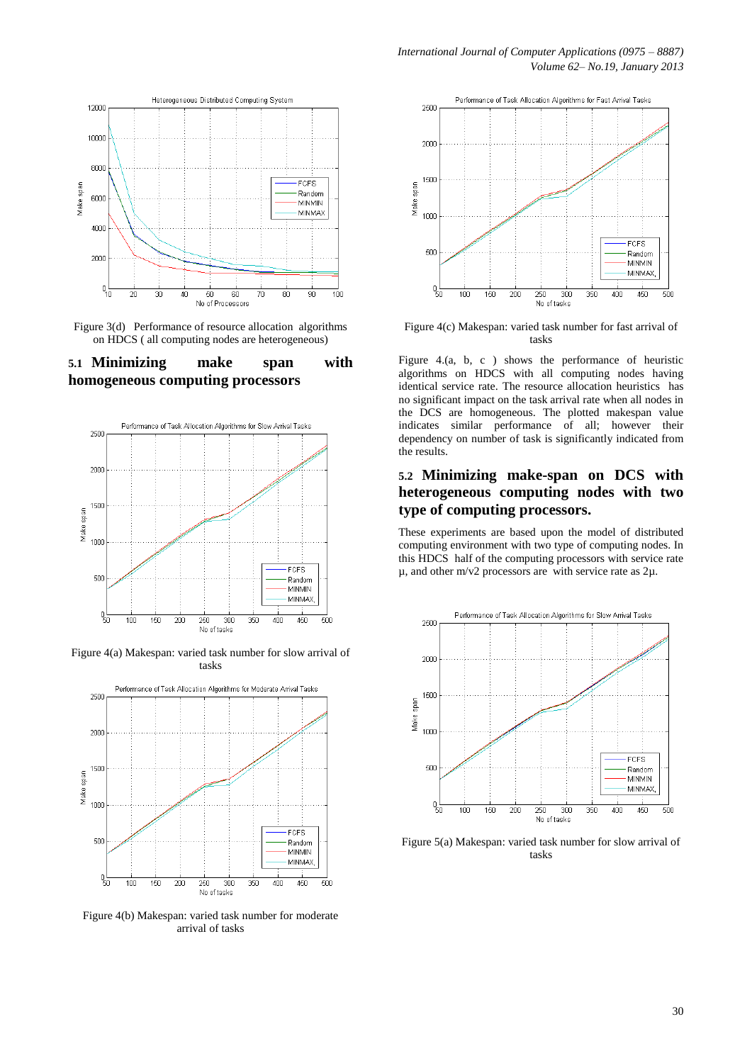

Figure 3(d) Performance of resource allocation algorithms on HDCS ( all computing nodes are heterogeneous)

### **5.1 Minimizing make span with homogeneous computing processors**



Figure 4(a) Makespan: varied task number for slow arrival of tasks



Figure 4(b) Makespan: varied task number for moderate arrival of tasks



Figure 4(c) Makespan: varied task number for fast arrival of tasks

Figure 4.(a, b, c ) shows the performance of heuristic algorithms on HDCS with all computing nodes having identical service rate. The resource allocation heuristics has no significant impact on the task arrival rate when all nodes in the DCS are homogeneous. The plotted makespan value indicates similar performance of all; however their dependency on number of task is significantly indicated from the results.

### **5.2 Minimizing make-span on DCS with heterogeneous computing nodes with two type of computing processors.**

These experiments are based upon the model of distributed computing environment with two type of computing nodes. In this HDCS half of the computing processors with service rate  $\mu$ , and other m/v2 processors are with service rate as  $2\mu$ .



Figure 5(a) Makespan: varied task number for slow arrival of tasks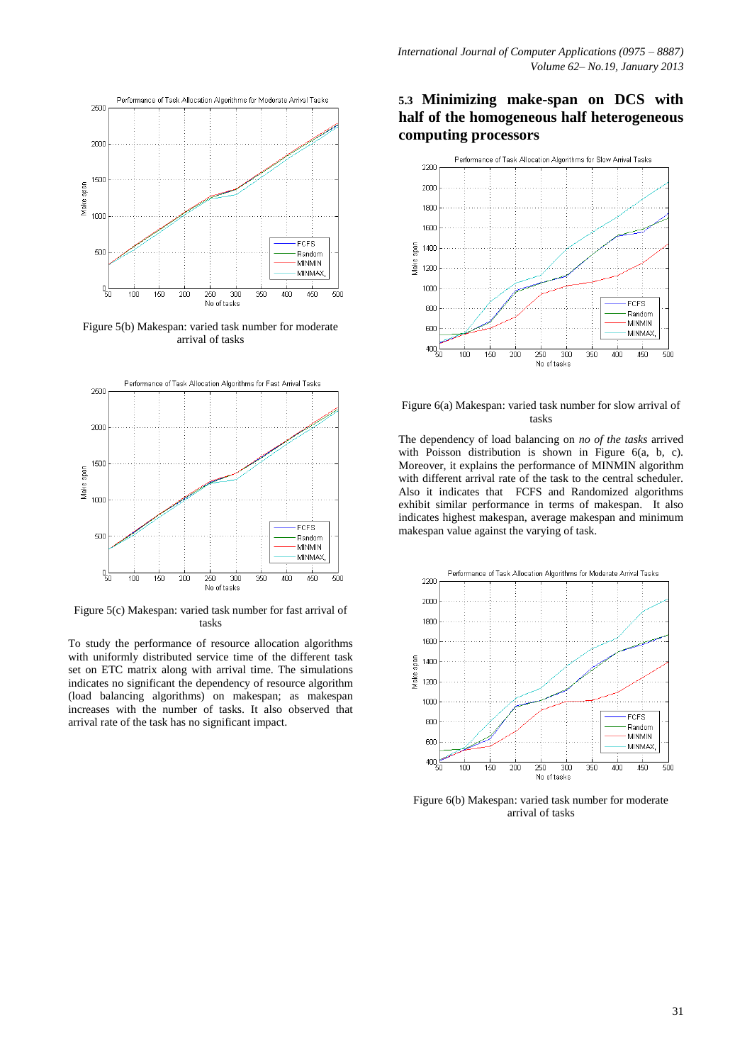

Figure 5(b) Makespan: varied task number for moderate arrival of tasks



Figure 5(c) Makespan: varied task number for fast arrival of tasks

To study the performance of resource allocation algorithms with uniformly distributed service time of the different task set on ETC matrix along with arrival time. The simulations indicates no significant the dependency of resource algorithm (load balancing algorithms) on makespan; as makespan increases with the number of tasks. It also observed that arrival rate of the task has no significant impact.

## **5.3 Minimizing make-span on DCS with half of the homogeneous half heterogeneous computing processors**



Figure 6(a) Makespan: varied task number for slow arrival of tasks

The dependency of load balancing on *no of the tasks* arrived with Poisson distribution is shown in Figure 6(a, b, c). Moreover, it explains the performance of MINMIN algorithm with different arrival rate of the task to the central scheduler. Also it indicates that FCFS and Randomized algorithms exhibit similar performance in terms of makespan. It also indicates highest makespan, average makespan and minimum makespan value against the varying of task.



Figure 6(b) Makespan: varied task number for moderate arrival of tasks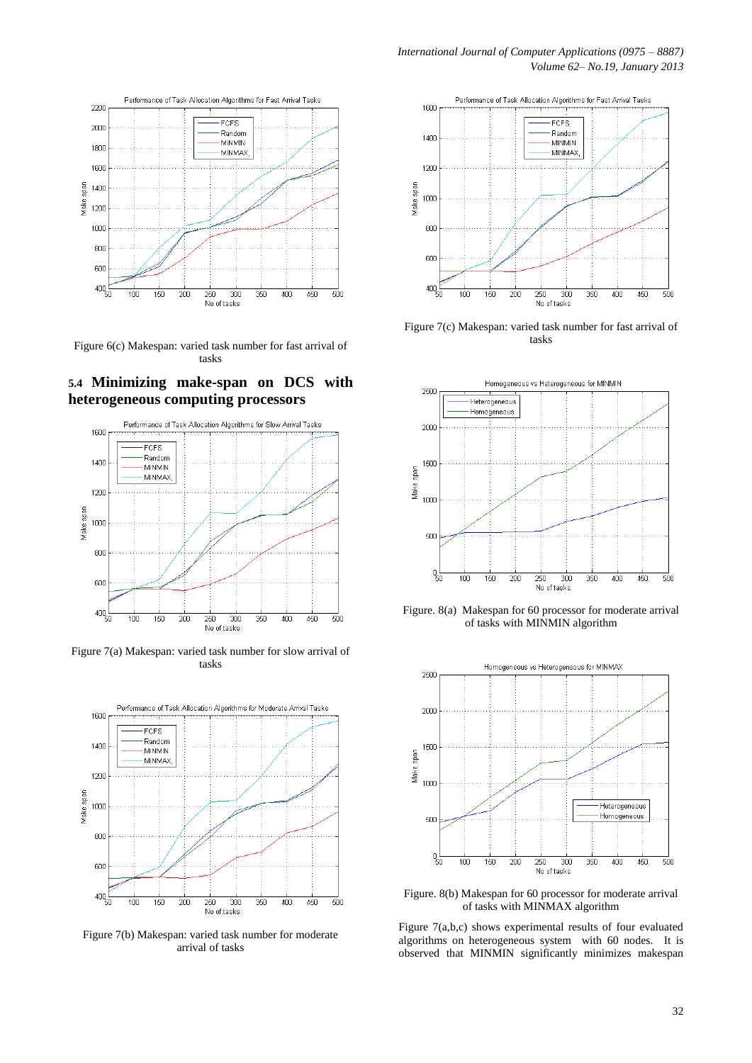

Figure 6(c) Makespan: varied task number for fast arrival of tasks

### **5.4 Minimizing make-span on DCS with heterogeneous computing processors**



Figure 7(a) Makespan: varied task number for slow arrival of tasks



Figure 7(b) Makespan: varied task number for moderate arrival of tasks



Figure 7(c) Makespan: varied task number for fast arrival of tasks



Figure. 8(a) Makespan for 60 processor for moderate arrival of tasks with MINMIN algorithm



Figure. 8(b) Makespan for 60 processor for moderate arrival of tasks with MINMAX algorithm

Figure 7(a,b,c) shows experimental results of four evaluated algorithms on heterogeneous system with 60 nodes. It is observed that MINMIN significantly minimizes makespan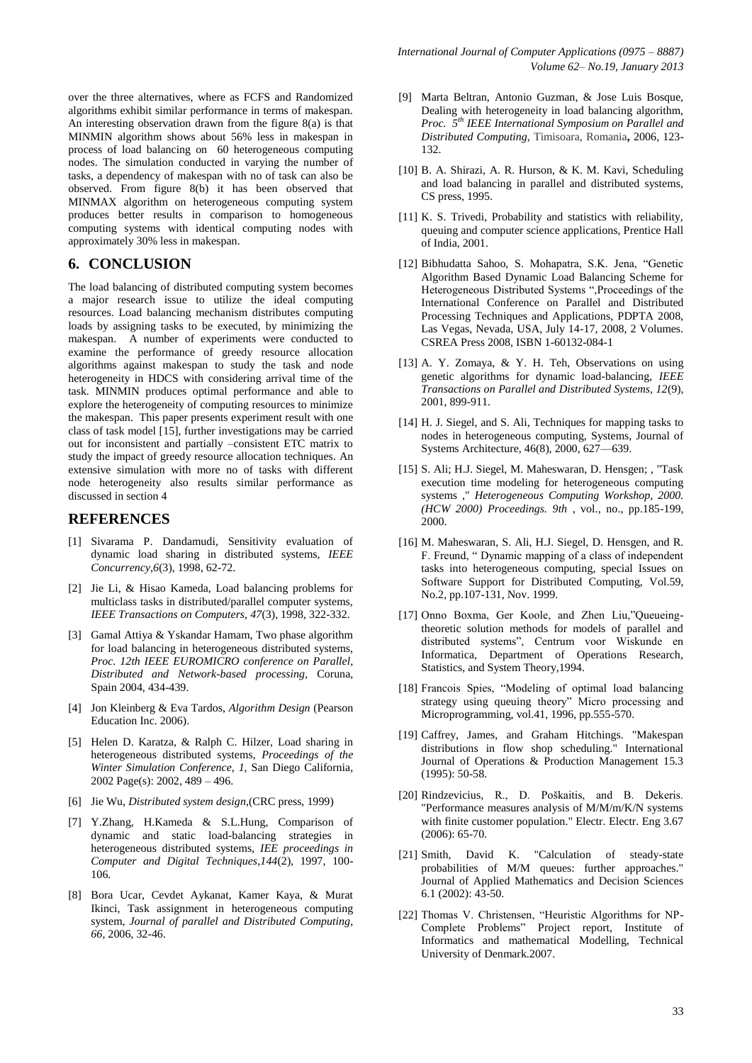over the three alternatives, where as FCFS and Randomized algorithms exhibit similar performance in terms of makespan. An interesting observation drawn from the figure 8(a) is that MINMIN algorithm shows about 56% less in makespan in process of load balancing on 60 heterogeneous computing nodes. The simulation conducted in varying the number of tasks, a dependency of makespan with no of task can also be observed. From figure 8(b) it has been observed that MINMAX algorithm on heterogeneous computing system produces better results in comparison to homogeneous computing systems with identical computing nodes with approximately 30% less in makespan.

### **6. CONCLUSION**

The load balancing of distributed computing system becomes a major research issue to utilize the ideal computing resources. Load balancing mechanism distributes computing loads by assigning tasks to be executed, by minimizing the makespan. A number of experiments were conducted to examine the performance of greedy resource allocation algorithms against makespan to study the task and node heterogeneity in HDCS with considering arrival time of the task. MINMIN produces optimal performance and able to explore the heterogeneity of computing resources to minimize the makespan. This paper presents experiment result with one class of task model [15], further investigations may be carried out for inconsistent and partially –consistent ETC matrix to study the impact of greedy resource allocation techniques. An extensive simulation with more no of tasks with different node heterogeneity also results similar performance as discussed in section 4

### **REFERENCES**

- [1] Sivarama P. Dandamudi, Sensitivity evaluation of dynamic load sharing in distributed systems, *IEEE Concurrency,6*(3), 1998, 62-72.
- [2] Jie Li, & Hisao Kameda, Load balancing problems for multiclass tasks in distributed/parallel computer systems, *IEEE Transactions on Computers, 47*(3), 1998, 322-332.
- [3] Gamal Attiya & Yskandar Hamam, Two phase algorithm for load balancing in heterogeneous distributed systems, *Proc. 12th IEEE EUROMICRO conference on Parallel, Distributed and Network-based processing,* Coruna, Spain 2004, 434-439.
- [4] Jon Kleinberg & Eva Tardos, *Algorithm Design* (Pearson Education Inc. 2006).
- [5] Helen D. Karatza, & Ralph C. Hilzer, Load sharing in heterogeneous distributed systems, *Proceedings of the Winter Simulation Conference*, *1*, San Diego California, 2002 Page(s): 2002, 489 - 496.
- [6] Jie Wu, *Distributed system design*,(CRC press, 1999)
- [7] Y.Zhang, H.Kameda & S.L.Hung, Comparison of dynamic and static load-balancing strategies in heterogeneous distributed systems, *IEE proceedings in Computer and Digital Techniques*,*144*(2), 1997, 100- 106.
- [8] Bora Ucar, Cevdet Aykanat, Kamer Kaya, & Murat Ikinci, Task assignment in heterogeneous computing system, *Journal of parallel and Distributed Computing*, *66*, 2006, 32-46.
- [9] Marta Beltran, Antonio Guzman, & Jose Luis Bosque, Dealing with heterogeneity in load balancing algorithm, *Proc. 5th IEEE International Symposium on Parallel and Distributed Computing,* Timisoara, Romania**,** 2006, 123- 132.
- [10] B. A. Shirazi, A. R. Hurson, & K. M. Kavi, Scheduling and load balancing in parallel and distributed systems, CS press, 1995.
- [11] K. S. Trivedi, Probability and statistics with reliability, queuing and computer science applications, Prentice Hall of India, 2001.
- [12] Bibhudatta Sahoo, S. Mohapatra, S.K. Jena, "Genetic Algorithm Based Dynamic Load Balancing Scheme for Heterogeneous Distributed Systems ",Proceedings of the International Conference on Parallel and Distributed Processing Techniques and Applications, PDPTA 2008, Las Vegas, Nevada, USA, July 14-17, 2008, 2 Volumes. CSREA Press 2008, ISBN 1-60132-084-1
- [13] A. Y. Zomaya, & Y. H. Teh, Observations on using genetic algorithms for dynamic load-balancing, *IEEE Transactions on Parallel and Distributed Systems, 12*(9), 2001, 899-911.
- [14] H. J. Siegel, and S. Ali, Techniques for mapping tasks to nodes in heterogeneous computing, Systems, Journal of Systems Architecture, 46(8), 2000, 627—639.
- [15] S. Ali; H.J. Siegel, M. Maheswaran, D. Hensgen; , "Task execution time modeling for heterogeneous computing systems ," *Heterogeneous Computing Workshop, 2000. (HCW 2000) Proceedings. 9th* , vol., no., pp.185-199, 2000.
- [16] M. Maheswaran, S. Ali, H.J. Siegel, D. Hensgen, and R. F. Freund, " Dynamic mapping of a class of independent tasks into heterogeneous computing, special Issues on Software Support for Distributed Computing, Vol.59, No.2, pp.107-131, Nov. 1999.
- [17] Onno Boxma, Ger Koole, and Zhen Liu,"Queueingtheoretic solution methods for models of parallel and distributed systems", Centrum voor Wiskunde en Informatica, Department of Operations Research, Statistics, and System Theory,1994.
- [18] Francois Spies, "Modeling of optimal load balancing strategy using queuing theory" Micro processing and Microprogramming, vol.41, 1996, pp.555-570.
- [19] Caffrey, James, and Graham Hitchings. "Makespan distributions in flow shop scheduling." International Journal of Operations & Production Management 15.3 (1995): 50-58.
- [20] Rindzevicius, R., D. Poškaitis, and B. Dekeris. "Performance measures analysis of M/M/m/K/N systems with finite customer population." Electr. Electr. Eng 3.67 (2006): 65-70.
- [21] Smith, David K. "Calculation of steady-state probabilities of M/M queues: further approaches." Journal of Applied Mathematics and Decision Sciences 6.1 (2002): 43-50.
- [22] Thomas V. Christensen, "Heuristic Algorithms for NP-Complete Problems" Project report, Institute of Informatics and mathematical Modelling, Technical University of Denmark.2007.